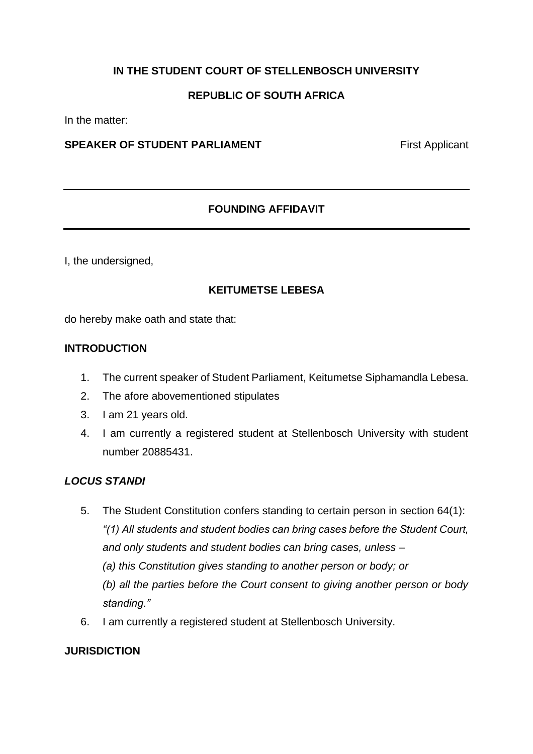## **IN THE STUDENT COURT OF STELLENBOSCH UNIVERSITY**

## **REPUBLIC OF SOUTH AFRICA**

In the matter:

### **SPEAKER OF STUDENT PARLIAMENT** First Applicant

## **FOUNDING AFFIDAVIT**

I, the undersigned,

### **KEITUMETSE LEBESA**

do hereby make oath and state that:

#### **INTRODUCTION**

- 1. The current speaker of Student Parliament, Keitumetse Siphamandla Lebesa.
- 2. The afore abovementioned stipulates
- 3. I am 21 years old.
- 4. I am currently a registered student at Stellenbosch University with student number 20885431.

#### *LOCUS STANDI*

- 5. The Student Constitution confers standing to certain person in section 64(1): *"(1) All students and student bodies can bring cases before the Student Court, and only students and student bodies can bring cases, unless – (a) this Constitution gives standing to another person or body; or (b) all the parties before the Court consent to giving another person or body standing."*
- 6. I am currently a registered student at Stellenbosch University.

#### **JURISDICTION**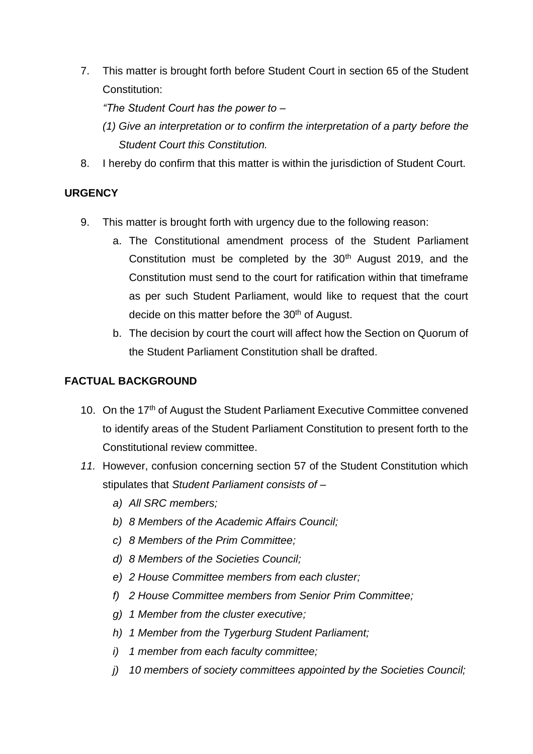7. This matter is brought forth before Student Court in section 65 of the Student Constitution:

*"The Student Court has the power to –*

- *(1) Give an interpretation or to confirm the interpretation of a party before the Student Court this Constitution.*
- 8. I hereby do confirm that this matter is within the jurisdiction of Student Court.

## **URGENCY**

- 9. This matter is brought forth with urgency due to the following reason:
	- a. The Constitutional amendment process of the Student Parliament Constitution must be completed by the  $30<sup>th</sup>$  August 2019, and the Constitution must send to the court for ratification within that timeframe as per such Student Parliament, would like to request that the court decide on this matter before the 30<sup>th</sup> of August.
	- b. The decision by court the court will affect how the Section on Quorum of the Student Parliament Constitution shall be drafted.

# **FACTUAL BACKGROUND**

- 10. On the 17<sup>th</sup> of August the Student Parliament Executive Committee convened to identify areas of the Student Parliament Constitution to present forth to the Constitutional review committee.
- *11.* However, confusion concerning section 57 of the Student Constitution which stipulates that *Student Parliament consists of –*
	- *a) All SRC members;*
	- *b) 8 Members of the Academic Affairs Council;*
	- *c) 8 Members of the Prim Committee;*
	- *d) 8 Members of the Societies Council;*
	- *e) 2 House Committee members from each cluster;*
	- *f) 2 House Committee members from Senior Prim Committee;*
	- *g) 1 Member from the cluster executive;*
	- *h) 1 Member from the Tygerburg Student Parliament;*
	- *i) 1 member from each faculty committee;*
	- *j) 10 members of society committees appointed by the Societies Council;*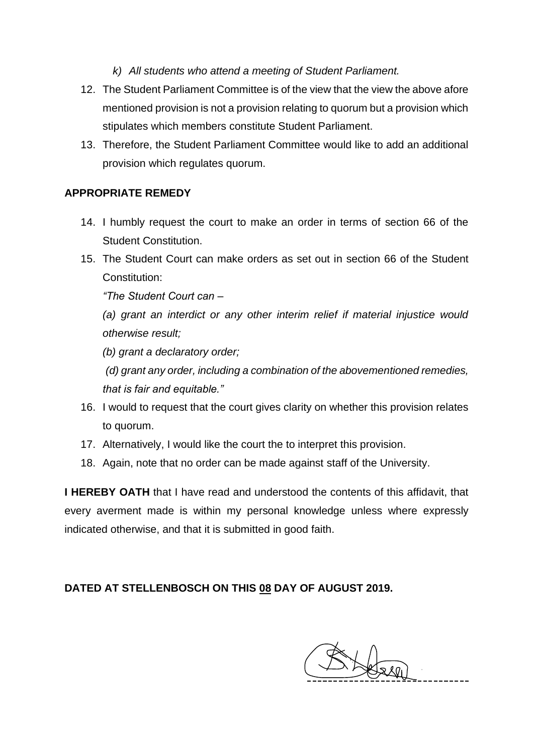*k) All students who attend a meeting of Student Parliament.*

- 12. The Student Parliament Committee is of the view that the view the above afore mentioned provision is not a provision relating to quorum but a provision which stipulates which members constitute Student Parliament.
- 13. Therefore, the Student Parliament Committee would like to add an additional provision which regulates quorum.

## **APPROPRIATE REMEDY**

- 14. I humbly request the court to make an order in terms of section 66 of the Student Constitution.
- 15. The Student Court can make orders as set out in section 66 of the Student Constitution:

*"The Student Court can –*

*(a) grant an interdict or any other interim relief if material injustice would otherwise result;*

*(b) grant a declaratory order;*

*(d) grant any order, including a combination of the abovementioned remedies, that is fair and equitable."*

- 16. I would to request that the court gives clarity on whether this provision relates to quorum.
- 17. Alternatively, I would like the court the to interpret this provision.
- 18. Again, note that no order can be made against staff of the University.

**I HEREBY OATH** that I have read and understood the contents of this affidavit, that every averment made is within my personal knowledge unless where expressly indicated otherwise, and that it is submitted in good faith.

# **DATED AT STELLENBOSCH ON THIS 08 DAY OF AUGUST 2019.**